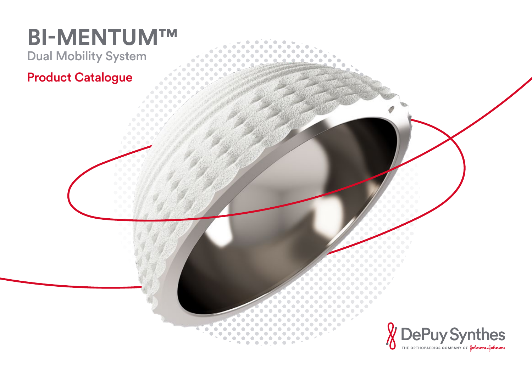# **BI-MENTUM™** Dual Mobility System Product Catalogue

 $\begin{array}{c} \begin{array}{c} \begin{array}{c} \begin{array}{c} \end{array} \end{array} \end{array} \end{array}$ 

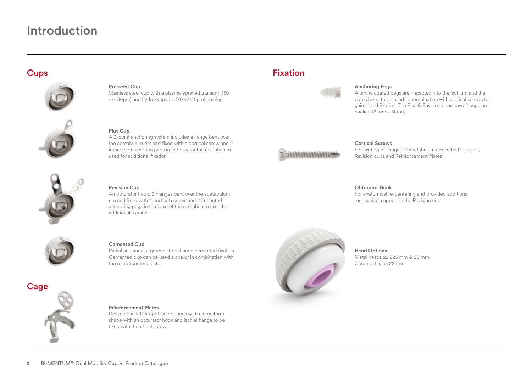# Introduction

## **Cups**



### **Press-Fit Cup**

Stainless steel cup with a plasma-sprayed titanium (150 +/- 30μm) and hydroxyapatite (70 +/-20μm) coating.



**Plus Cup** A 3-point anchoring system includes a flange bent over the acetabulum rim and fixed with a cortical screw and 2 impacted anchoring pegs in the base of the acetabulum used for additional fixation



### **Revision Cup**

An obturator hook, 2 Flanges bent over the acetabulum rim and fixed with 4 cortical screws and 2 impacted anchoring pegs in the base of the acetabulum used for additional fixation



### **Cemented Cup**

Radial and annular grooves to enhance cemented fixation. Cemented cup can be used alone or in combination with the reinforcement plate.



### **Reinforcement Plates**

Designed in left & right side options with a cruciform shape with an obturator hook and ischial flange to be fixed with 4 cortical screws

# Fixation



### **Anchoring Pegs**

Alumina coated pegs are impacted into the ischium and the pubic bone to be used in combination with cortical screws to gain tripod fixation. The Plus & Revision cups have 2 pegs pre packed (8 mm x 14 mm)



### **Cortical Screws**

For fixation of flanges to acetabulum rim in the Plus cups, Revision cups and Reinforcement Plates

### **Obturator Hook**

For anatomical re-centering and provided additional mechanical support in the Revision cup



**Head Options** Metal heads 22.225 mm & 28 mm Ceramic heads 28 mm

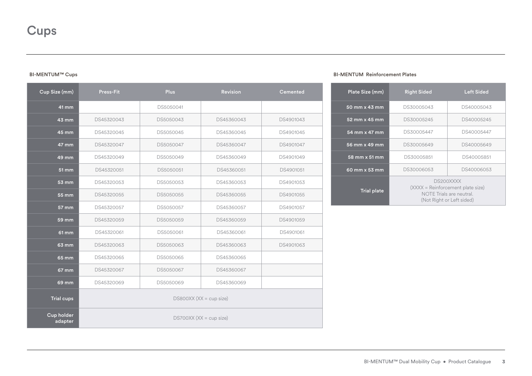### BI-MENTUM™ Cups

| Cup Size (mm)         | <b>Press-Fit</b>          | <b>Plus</b> | <b>Revision</b> | <b>Cemented</b> |  |  |
|-----------------------|---------------------------|-------------|-----------------|-----------------|--|--|
| 41 mm                 |                           | DS5050041   |                 |                 |  |  |
| 43 mm                 | DS45320043                | DS5050043   | DS45360043      | DS4901043       |  |  |
| 45 mm                 | DS45320045                | DS5050045   | DS45360045      | DS4901045       |  |  |
| 47 mm                 | DS45320047                | DS5050047   | DS45360047      | DS4901047       |  |  |
| 49 mm                 | DS45320049                | DS5050049   | DS45360049      | DS4901049       |  |  |
| 51 mm                 | DS45320051                | DS5050051   | DS45360051      | DS4901051       |  |  |
| $53 \text{ mm}$       | DS45320053                | DS5050053   | DS45360053      | DS4901053       |  |  |
| $55 \text{ mm}$       | DS45320055                | DS5050055   | DS45360055      | DS4901055       |  |  |
| 57 mm                 | DS45320057                | DS5050057   | DS45360057      | DS4901057       |  |  |
| 59 mm                 | DS45320059                | DS5050059   | DS45360059      | DS4901059       |  |  |
| 61 mm                 | DS45320061                | DS5050061   | DS45360061      | DS4901061       |  |  |
| 63 mm                 | DS45320063                | DS5050063   | DS45360063      | DS4901063       |  |  |
| 65 mm                 | DS45320065                | DS5050065   | DS45360065      |                 |  |  |
| 67 mm                 | DS45320067                | DS5050067   | DS45360067      |                 |  |  |
| $69$ mm               | DS45320069                | DS5050069   | DS45360069      |                 |  |  |
| <b>Trial cups</b>     | $DS800XX$ (XX = cup size) |             |                 |                 |  |  |
| Cup holder<br>adapter | $DS700XX$ (XX = cup size) |             |                 |                 |  |  |

### BI-MENTUM Reinforcement Plates

| Plate Size (mm)    | <b>Right Sided</b>                                                                                      | <b>Left Sided</b> |  |  |
|--------------------|---------------------------------------------------------------------------------------------------------|-------------------|--|--|
| 50 mm x 43 mm      | DS30005043                                                                                              | DS40005043        |  |  |
| 52 mm x 45 mm      | DS30005245                                                                                              | DS40005245        |  |  |
| 54 mm x 47 mm      | DS30005447                                                                                              | DS40005447        |  |  |
| 56 mm x 49 mm      | DS30005649                                                                                              | DS40005649        |  |  |
| 58 mm x 51 mm      | DS30005851                                                                                              | DS40005851        |  |  |
| 60 mm x 53 mm      | DS30006053                                                                                              | DS40006053        |  |  |
| <b>Trial plate</b> | DS200XXXX<br>(XXXX = Reinforcement plate size)<br>NOTE Trials are neutral.<br>(Not Right or Left sided) |                   |  |  |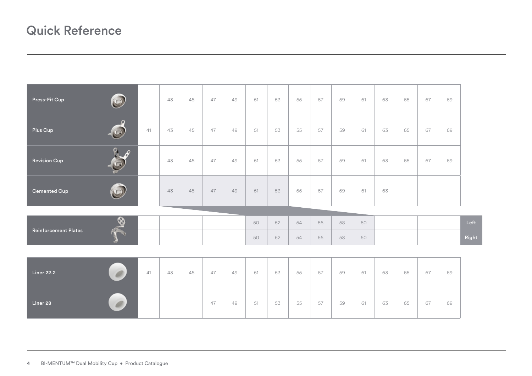# Quick Reference

| $\circledcirc$<br>Press-Fit Cup              |    | 43 | 45 | 47 | 49 | 51 | 53 | 55 | 57 | 59 | 61 | 63 | 65 | 67 | 69 |       |
|----------------------------------------------|----|----|----|----|----|----|----|----|----|----|----|----|----|----|----|-------|
| $\Omega$<br>$\bigcirc$<br>Plus Cup           | 41 | 43 | 45 | 47 | 49 | 51 | 53 | 55 | 57 | 59 | 61 | 63 | 65 | 67 | 69 |       |
| B<br>O<br><b>Revision Cup</b>                |    | 43 | 45 | 47 | 49 | 51 | 53 | 55 | 57 | 59 | 61 | 63 | 65 | 67 | 69 |       |
| $\bigodot$<br><b>Cemented Cup</b>            |    | 43 | 45 | 47 | 49 | 51 | 53 | 55 | 57 | 59 | 61 | 63 |    |    |    |       |
|                                              |    |    |    |    |    |    |    |    |    |    |    |    |    |    |    |       |
| $\frac{1}{2}$<br><b>Reinforcement Plates</b> |    |    |    |    |    | 50 | 52 | 54 | 56 | 58 | 60 |    |    |    |    | Left  |
|                                              |    |    |    |    |    | 50 | 52 | 54 | 56 | 58 | 60 |    |    |    |    | Right |
|                                              |    |    |    |    |    |    |    |    |    |    |    |    |    |    |    |       |
| <b>Liner 22.2</b><br>$\blacksquare$          | 41 | 43 | 45 | 47 | 49 | 51 | 53 | 55 | 57 | 59 | 61 | 63 | 65 | 67 | 69 |       |
| Liner 28                                     |    |    |    | 47 | 49 | 51 | 53 | 55 | 57 | 59 | 61 | 63 | 65 | 67 | 69 |       |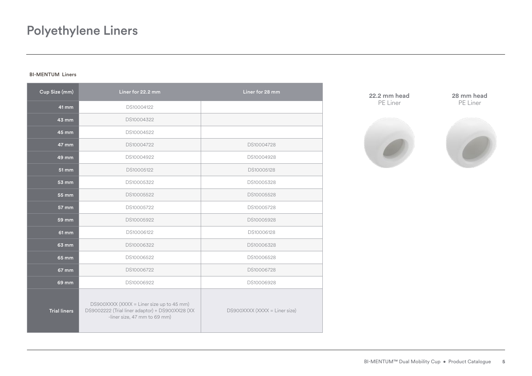### BI-MENTUM Liners

| Cup Size (mm)       | Liner for 22.2 mm                                                                                                            | Liner for 28 mm               |
|---------------------|------------------------------------------------------------------------------------------------------------------------------|-------------------------------|
| 41 mm               | DS10004122                                                                                                                   |                               |
| $43 \text{ mm}$     | DS10004322                                                                                                                   |                               |
| 45 mm               | DS10004522                                                                                                                   |                               |
| 47 mm               | DS10004722                                                                                                                   | DS10004728                    |
| 49 mm               | DS10004922                                                                                                                   | DS10004928                    |
| 51 mm               | DS10005122                                                                                                                   | DS10005128                    |
| 53 mm               | DS10005322                                                                                                                   | DS10005328                    |
| 55 mm               | DS10005522                                                                                                                   | DS10005528                    |
| $57 \, \text{mm}$   | DS10005722                                                                                                                   | DS10005728                    |
| 59 mm               | DS10005922                                                                                                                   | DS10005928                    |
| 61 mm               | DS10006122                                                                                                                   | DS10006128                    |
| 63 mm               | DS10006322                                                                                                                   | DS10006328                    |
| 65 mm               | DS10006522                                                                                                                   | DS10006528                    |
| 67 mm               | DS10006722                                                                                                                   | DS10006728                    |
| 69 mm               | DS10006922                                                                                                                   | DS10006928                    |
| <b>Trial liners</b> | DS900XXXX (XXXX = Liner size up to 45 mm)<br>DS9002222 (Trial liner adaptor) + DS900XX28 (XX<br>-liner size, 47 mm to 69 mm) | DS900XXXX (XXXX = Liner size) |

22.2 mm head PE Liner 28 mm head PE Liner

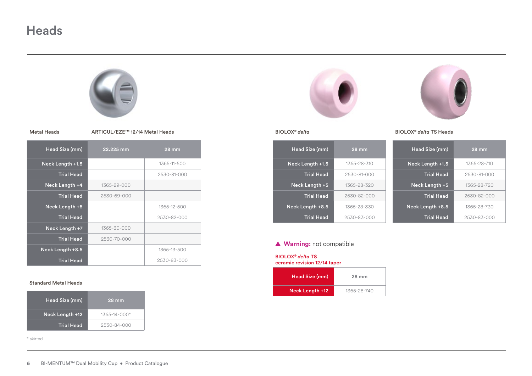# **Heads**



|  | <b>Metal Heads</b> |
|--|--------------------|
|--|--------------------|

ARTICUL/EZE™ 12/14 Metal Heads

| Head Size (mm)    | 22.225 mm   | $28$ mm     |
|-------------------|-------------|-------------|
| Neck Length +1.5  |             | 1365-11-500 |
| <b>Trial Head</b> |             | 2530-81-000 |
| Neck Length +4    | 1365-29-000 |             |
| <b>Trial Head</b> | 2530-69-000 |             |
| Neck Length +5    |             | 1365-12-500 |
| <b>Trial Head</b> |             | 2530-82-000 |
| Neck Length +7    | 1365-30-000 |             |
| <b>Trial Head</b> | 2530-70-000 |             |
| Neck Length +8.5  |             | 1365-13-500 |
| <b>Trial Head</b> |             | 2530-83-000 |

### Standard Metal Heads

| Head Size (mm)    | <b>28 mm</b>       |
|-------------------|--------------------|
| Neck Length +12   | $1365 - 14 - 000*$ |
| <b>Trial Head</b> | 2530-84-000        |

\* skirted





BIOLOX® *delta*

| Head Size (mm)    | $28 \text{ mm}$ | H  |
|-------------------|-----------------|----|
| Neck Length +1.5  | 1365-28-310     | Ne |
| <b>Trial Head</b> | 2530-81-000     |    |
| Neck Length +5    | 1365-28-320     |    |
| <b>Trial Head</b> | 2530-82-000     |    |
| Neck Length +8.5  | 1365-28-330     | Ne |
| <b>Trial Head</b> | 2530-83-000     |    |



| BIOLOX® delta TS Heads |  |  |  |
|------------------------|--|--|--|
|------------------------|--|--|--|

| Head Size (mm)    | $28 \,\mathrm{mm}$ |
|-------------------|--------------------|
| Neck Length +1.5  | 1365-28-710        |
| <b>Trial Head</b> | 2530-81-000        |
| Neck Length +5    | 1365-28-720        |
| <b>Trial Head</b> | 2530-82-000        |
| Neck Length +8.5  | 1365-28-730        |
| <b>Trial Head</b> | 2530-83-000        |

### **▲ Warning:** not compatible

BIOLOX® *delta* TS

ceramic revision 12/14 taper

| Head Size (mm)  | 28 mm       |
|-----------------|-------------|
| Neck Length +12 | 1365-28-740 |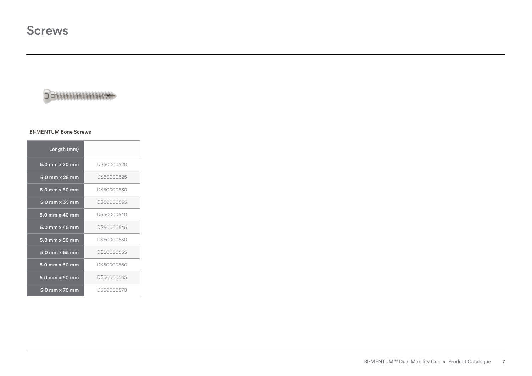# **DEMANAMARK**

### BI-MENTUM Bone Screws

| Length (mm)             |            |
|-------------------------|------------|
| 5.0 mm x 20 mm          | DS50000520 |
| 5.0 mm x 25 mm          | DS50000525 |
| 5.0 mm x 30 mm          | DS50000530 |
| $5.0$ mm $\times$ 35 mm | DS50000535 |
| 5.0 mm x 40 mm          | DS50000540 |
| 5.0 mm x 45 mm          | DS50000545 |
| $5.0$ mm $\times$ 50 mm | DS50000550 |
| 5.0 mm x 55 mm          | DS50000555 |
| 5.0 mm x 60 mm          | DS50000560 |
| 5.0 mm x 60 mm          | DS50000565 |
| 5.0 mm x 70 mm          | DS50000570 |